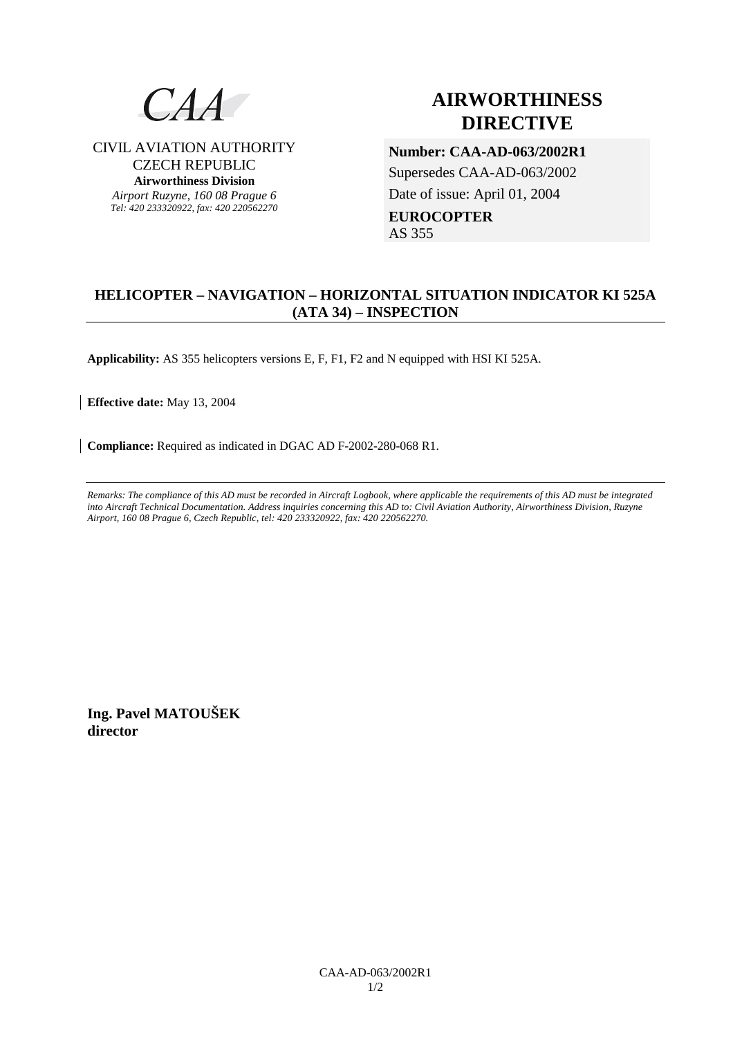

CIVIL AVIATION AUTHORITY CZECH REPUBLIC **Airworthiness Division**  *Airport Ruzyne, 160 08 Prague 6 Tel: 420 233320922, fax: 420 220562270*

# **AIRWORTHINESS DIRECTIVE**

**Number: CAA-AD-063/2002R1**  Supersedes CAA-AD-063/2002 Date of issue: April 01, 2004 **EUROCOPTER**  AS 355

# **HELICOPTER – NAVIGATION – HORIZONTAL SITUATION INDICATOR KI 525A (ATA 34) – INSPECTION**

**Applicability:** AS 355 helicopters versions E, F, F1, F2 and N equipped with HSI KI 525A.

**Effective date:** May 13, 2004

**Compliance:** Required as indicated in DGAC AD F-2002-280-068 R1.

*Remarks: The compliance of this AD must be recorded in Aircraft Logbook, where applicable the requirements of this AD must be integrated into Aircraft Technical Documentation. Address inquiries concerning this AD to: Civil Aviation Authority, Airworthiness Division, Ruzyne Airport, 160 08 Prague 6, Czech Republic, tel: 420 233320922, fax: 420 220562270.* 

**Ing. Pavel MATOUŠEK director**